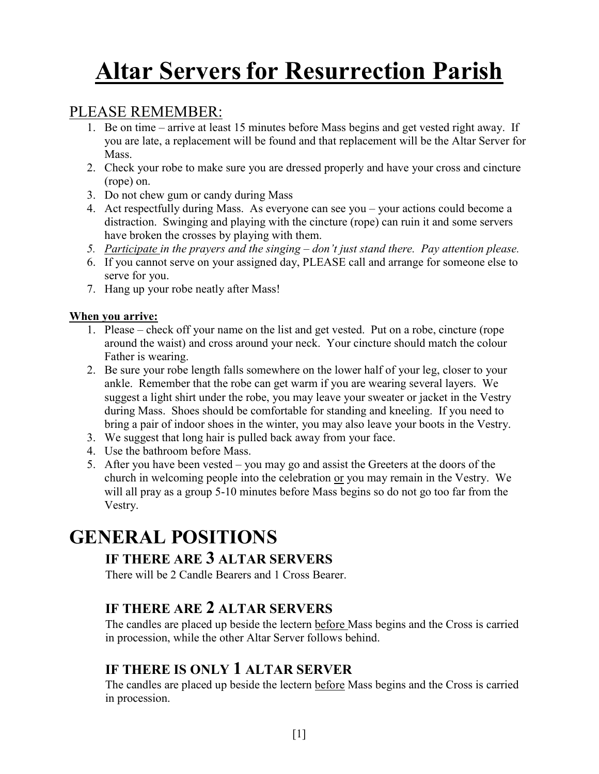# Altar Servers for Resurrection Parish

## PLEASE REMEMBER:

- 1. Be on time arrive at least 15 minutes before Mass begins and get vested right away. If you are late, a replacement will be found and that replacement will be the Altar Server for Mass.
- 2. Check your robe to make sure you are dressed properly and have your cross and cincture (rope) on.
- 3. Do not chew gum or candy during Mass
- 4. Act respectfully during Mass. As everyone can see you your actions could become a distraction. Swinging and playing with the cincture (rope) can ruin it and some servers have broken the crosses by playing with them.
- 5. Participate in the prayers and the singing don't just stand there. Pay attention please.
- 6. If you cannot serve on your assigned day, PLEASE call and arrange for someone else to serve for you.
- 7. Hang up your robe neatly after Mass!

#### When you arrive:

- 1. Please check off your name on the list and get vested. Put on a robe, cincture (rope around the waist) and cross around your neck. Your cincture should match the colour Father is wearing.
- 2. Be sure your robe length falls somewhere on the lower half of your leg, closer to your ankle. Remember that the robe can get warm if you are wearing several layers. We suggest a light shirt under the robe, you may leave your sweater or jacket in the Vestry during Mass. Shoes should be comfortable for standing and kneeling. If you need to bring a pair of indoor shoes in the winter, you may also leave your boots in the Vestry.
- 3. We suggest that long hair is pulled back away from your face.
- 4. Use the bathroom before Mass.
- 5. After you have been vested you may go and assist the Greeters at the doors of the church in welcoming people into the celebration or you may remain in the Vestry. We will all pray as a group 5-10 minutes before Mass begins so do not go too far from the Vestry.

# GENERAL POSITIONS

### IF THERE ARE 3 ALTAR SERVERS

There will be 2 Candle Bearers and 1 Cross Bearer.

# IF THERE ARE 2 ALTAR SERVERS

The candles are placed up beside the lectern before Mass begins and the Cross is carried in procession, while the other Altar Server follows behind.

### IF THERE IS ONLY 1 ALTAR SERVER

The candles are placed up beside the lectern before Mass begins and the Cross is carried in procession.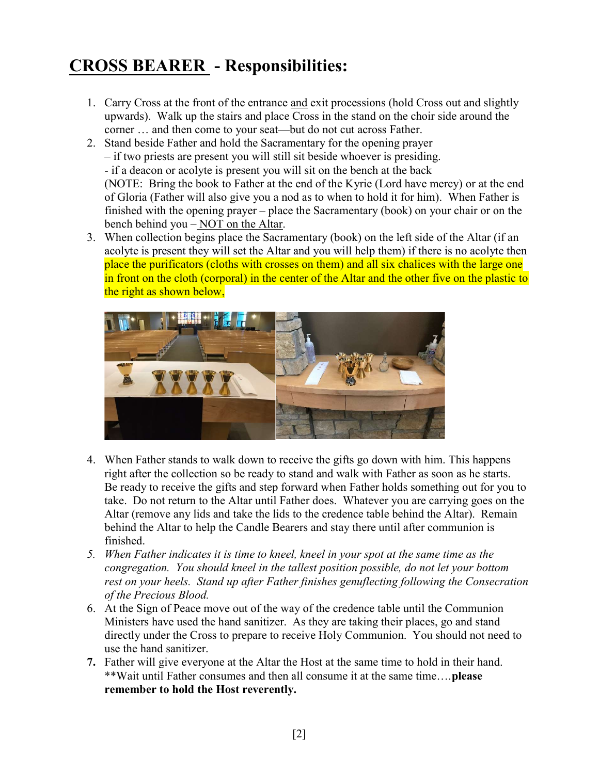# CROSS BEARER - Responsibilities:

1. Carry Cross at the front of the entrance and exit processions (hold Cross out and slightly upwards). Walk up the stairs and place Cross in the stand on the choir side around the corner … and then come to your seat—but do not cut across Father.

2. Stand beside Father and hold the Sacramentary for the opening prayer – if two priests are present you will still sit beside whoever is presiding. - if a deacon or acolyte is present you will sit on the bench at the back (NOTE: Bring the book to Father at the end of the Kyrie (Lord have mercy) or at the end of Gloria (Father will also give you a nod as to when to hold it for him). When Father is finished with the opening prayer – place the Sacramentary (book) on your chair or on the bench behind you – NOT on the Altar.

3. When collection begins place the Sacramentary (book) on the left side of the Altar (if an acolyte is present they will set the Altar and you will help them) if there is no acolyte then place the purificators (cloths with crosses on them) and all six chalices with the large one in front on the cloth (corporal) in the center of the Altar and the other five on the plastic to the right as shown below,



- 4. When Father stands to walk down to receive the gifts go down with him. This happens right after the collection so be ready to stand and walk with Father as soon as he starts. Be ready to receive the gifts and step forward when Father holds something out for you to take. Do not return to the Altar until Father does. Whatever you are carrying goes on the Altar (remove any lids and take the lids to the credence table behind the Altar). Remain behind the Altar to help the Candle Bearers and stay there until after communion is finished.
- 5. When Father indicates it is time to kneel, kneel in your spot at the same time as the congregation. You should kneel in the tallest position possible, do not let your bottom rest on your heels. Stand up after Father finishes genuflecting following the Consecration of the Precious Blood.
- 6. At the Sign of Peace move out of the way of the credence table until the Communion Ministers have used the hand sanitizer. As they are taking their places, go and stand directly under the Cross to prepare to receive Holy Communion. You should not need to use the hand sanitizer.
- 7. Father will give everyone at the Altar the Host at the same time to hold in their hand. \*\*Wait until Father consumes and then all consume it at the same time….please remember to hold the Host reverently.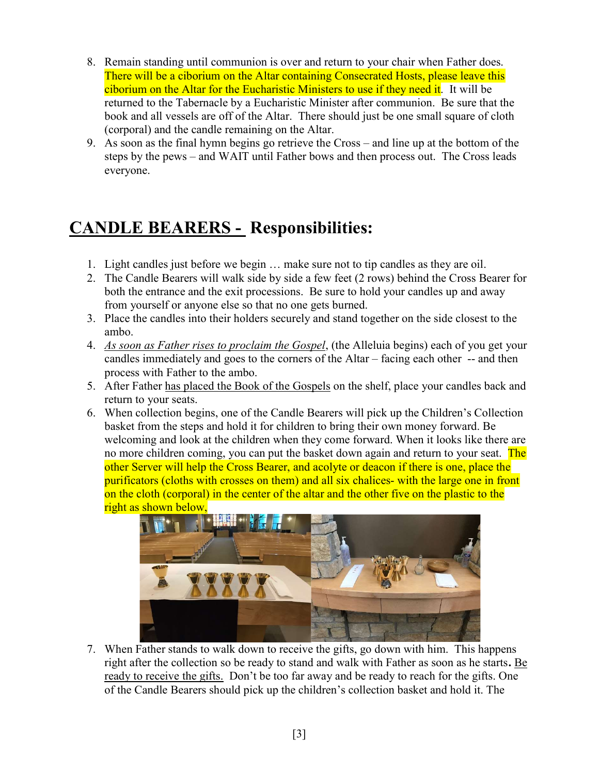- 8. Remain standing until communion is over and return to your chair when Father does. There will be a ciborium on the Altar containing Consecrated Hosts, please leave this ciborium on the Altar for the Eucharistic Ministers to use if they need it. It will be returned to the Tabernacle by a Eucharistic Minister after communion. Be sure that the book and all vessels are off of the Altar. There should just be one small square of cloth (corporal) and the candle remaining on the Altar.
- 9. As soon as the final hymn begins go retrieve the Cross and line up at the bottom of the steps by the pews – and WAIT until Father bows and then process out. The Cross leads everyone.

# CANDLE BEARERS - Responsibilities:

- 1. Light candles just before we begin … make sure not to tip candles as they are oil.
- 2. The Candle Bearers will walk side by side a few feet (2 rows) behind the Cross Bearer for both the entrance and the exit processions. Be sure to hold your candles up and away from yourself or anyone else so that no one gets burned.
- 3. Place the candles into their holders securely and stand together on the side closest to the ambo.
- 4. As soon as Father rises to proclaim the Gospel, (the Alleluia begins) each of you get your candles immediately and goes to the corners of the Altar – facing each other -- and then process with Father to the ambo.
- 5. After Father has placed the Book of the Gospels on the shelf, place your candles back and return to your seats.
- 6. When collection begins, one of the Candle Bearers will pick up the Children's Collection basket from the steps and hold it for children to bring their own money forward. Be welcoming and look at the children when they come forward. When it looks like there are no more children coming, you can put the basket down again and return to your seat. The other Server will help the Cross Bearer, and acolyte or deacon if there is one, place the purificators (cloths with crosses on them) and all six chalices- with the large one in front on the cloth (corporal) in the center of the altar and the other five on the plastic to the right as shown below,



7. When Father stands to walk down to receive the gifts, go down with him. This happens right after the collection so be ready to stand and walk with Father as soon as he starts. Be ready to receive the gifts. Don't be too far away and be ready to reach for the gifts. One of the Candle Bearers should pick up the children's collection basket and hold it. The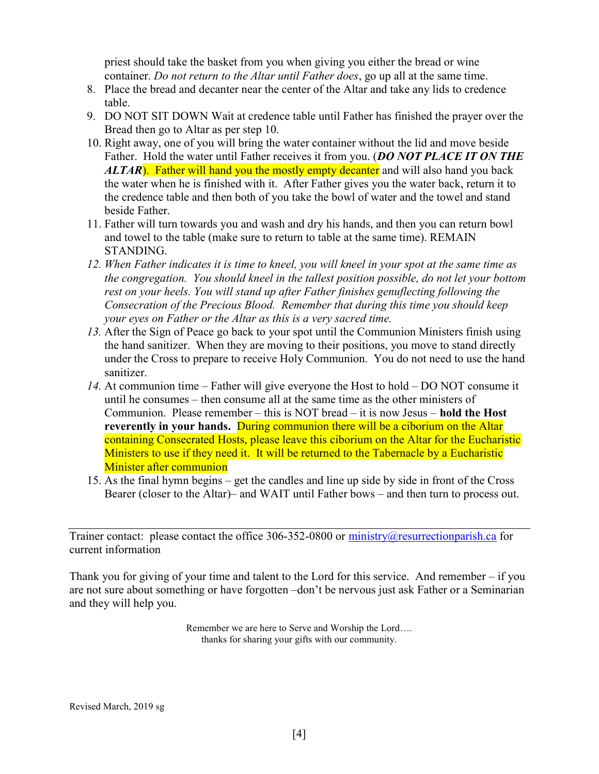priest should take the basket from you when giving you either the bread or wine container. Do not return to the Altar until Father does, go up all at the same time.

- 8. Place the bread and decanter near the center of the Altar and take any lids to credence table.
- 9. DO NOT SIT DOWN Wait at credence table until Father has finished the prayer over the Bread then go to Altar as per step 10.
- 10. Right away, one of you will bring the water container without the lid and move beside Father. Hold the water until Father receives it from you. (DO NOT PLACE IT ON THE ALTAR). Father will hand you the mostly empty decanter and will also hand you back the water when he is finished with it. After Father gives you the water back, return it to the credence table and then both of you take the bowl of water and the towel and stand beside Father.
- 11. Father will turn towards you and wash and dry his hands, and then you can return bowl and towel to the table (make sure to return to table at the same time). REMAIN STANDING.
- 12. When Father indicates it is time to kneel, you will kneel in your spot at the same time as the congregation. You should kneel in the tallest position possible, do not let your bottom rest on your heels. You will stand up after Father finishes genuflecting following the Consecration of the Precious Blood. Remember that during this time you should keep your eyes on Father or the Altar as this is a very sacred time.
- 13. After the Sign of Peace go back to your spot until the Communion Ministers finish using the hand sanitizer. When they are moving to their positions, you move to stand directly under the Cross to prepare to receive Holy Communion. You do not need to use the hand sanitizer.
- 14. At communion time Father will give everyone the Host to hold DO NOT consume it until he consumes – then consume all at the same time as the other ministers of Communion. Please remember – this is NOT bread – it is now Jesus – **hold the Host** reverently in your hands. During communion there will be a ciborium on the Altar containing Consecrated Hosts, please leave this ciborium on the Altar for the Eucharistic Ministers to use if they need it. It will be returned to the Tabernacle by a Eucharistic Minister after communion
- 15. As the final hymn begins get the candles and line up side by side in front of the Cross Bearer (closer to the Altar)– and WAIT until Father bows – and then turn to process out.

Trainer contact: please contact the office 306-352-0800 or ministry@resurrectionparish.ca for current information

Thank you for giving of your time and talent to the Lord for this service. And remember – if you are not sure about something or have forgotten –don't be nervous just ask Father or a Seminarian and they will help you.

> Remember we are here to Serve and Worship the Lord…. thanks for sharing your gifts with our community.